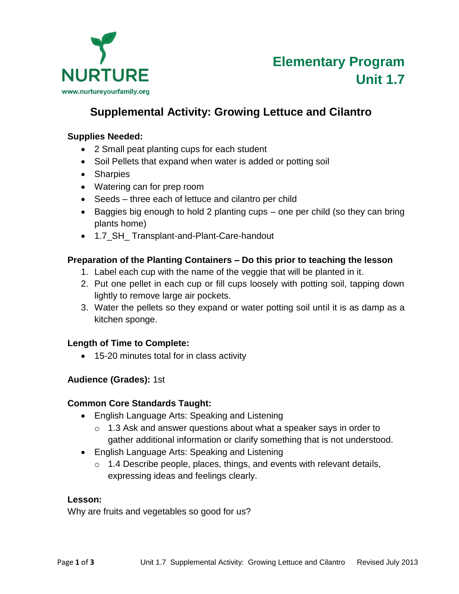

# **Supplemental Activity: Growing Lettuce and Cilantro**

#### **Supplies Needed:**

- 2 Small peat planting cups for each student
- Soil Pellets that expand when water is added or potting soil
- Sharpies
- Watering can for prep room
- Seeds three each of lettuce and cilantro per child
- Baggies big enough to hold 2 planting cups one per child (so they can bring plants home)
- 1.7 SH Transplant-and-Plant-Care-handout

## **Preparation of the Planting Containers – Do this prior to teaching the lesson**

- 1. Label each cup with the name of the veggie that will be planted in it.
- 2. Put one pellet in each cup or fill cups loosely with potting soil, tapping down lightly to remove large air pockets.
- 3. Water the pellets so they expand or water potting soil until it is as damp as a kitchen sponge.

## **Length of Time to Complete:**

15-20 minutes total for in class activity

## **Audience (Grades):** 1st

### **Common Core Standards Taught:**

- English Language Arts: Speaking and Listening
	- $\circ$  1.3 Ask and answer questions about what a speaker says in order to gather additional information or clarify something that is not understood.
- English Language Arts: Speaking and Listening
	- $\circ$  1.4 Describe people, places, things, and events with relevant details, expressing ideas and feelings clearly.

### **Lesson:**

Why are fruits and vegetables so good for us?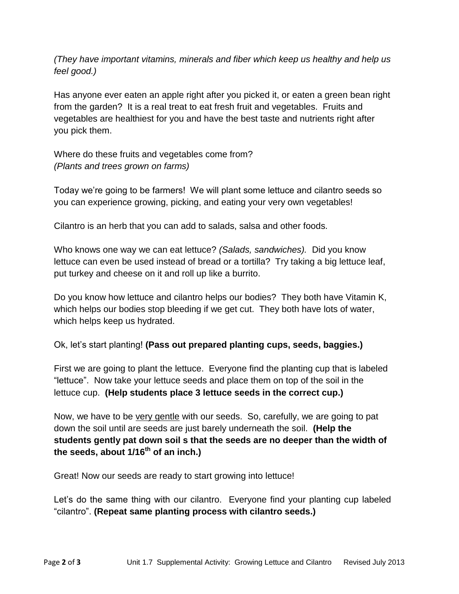*(They have important vitamins, minerals and fiber which keep us healthy and help us feel good.)* 

Has anyone ever eaten an apple right after you picked it, or eaten a green bean right from the garden? It is a real treat to eat fresh fruit and vegetables. Fruits and vegetables are healthiest for you and have the best taste and nutrients right after you pick them.

Where do these fruits and vegetables come from? *(Plants and trees grown on farms)* 

Today we're going to be farmers! We will plant some lettuce and cilantro seeds so you can experience growing, picking, and eating your very own vegetables!

Cilantro is an herb that you can add to salads, salsa and other foods.

Who knows one way we can eat lettuce? *(Salads, sandwiches).* Did you know lettuce can even be used instead of bread or a tortilla? Try taking a big lettuce leaf, put turkey and cheese on it and roll up like a burrito.

Do you know how lettuce and cilantro helps our bodies? They both have Vitamin K, which helps our bodies stop bleeding if we get cut. They both have lots of water, which helps keep us hydrated.

Ok, let's start planting! **(Pass out prepared planting cups, seeds, baggies.)**

First we are going to plant the lettuce. Everyone find the planting cup that is labeled "lettuce". Now take your lettuce seeds and place them on top of the soil in the lettuce cup. **(Help students place 3 lettuce seeds in the correct cup.)**

Now, we have to be very gentle with our seeds. So, carefully, we are going to pat down the soil until are seeds are just barely underneath the soil. **(Help the students gently pat down soil s that the seeds are no deeper than the width of the seeds, about 1/16th of an inch.)** 

Great! Now our seeds are ready to start growing into lettuce!

Let's do the same thing with our cilantro. Everyone find your planting cup labeled "cilantro". **(Repeat same planting process with cilantro seeds.)**